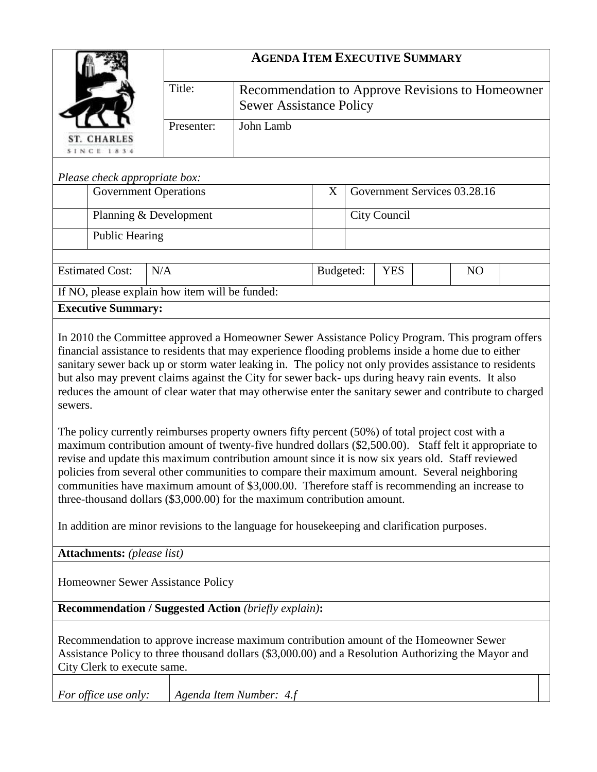|                                                                                                                                                                                                                                                                                                                                                                                                                                                                                                                                                                                            |            | <b>AGENDA ITEM EXECUTIVE SUMMARY</b>             |           |                              |  |  |  |  |  |
|--------------------------------------------------------------------------------------------------------------------------------------------------------------------------------------------------------------------------------------------------------------------------------------------------------------------------------------------------------------------------------------------------------------------------------------------------------------------------------------------------------------------------------------------------------------------------------------------|------------|--------------------------------------------------|-----------|------------------------------|--|--|--|--|--|
|                                                                                                                                                                                                                                                                                                                                                                                                                                                                                                                                                                                            | Title:     | Recommendation to Approve Revisions to Homeowner |           |                              |  |  |  |  |  |
|                                                                                                                                                                                                                                                                                                                                                                                                                                                                                                                                                                                            |            | <b>Sewer Assistance Policy</b>                   |           |                              |  |  |  |  |  |
|                                                                                                                                                                                                                                                                                                                                                                                                                                                                                                                                                                                            | Presenter: | John Lamb                                        |           |                              |  |  |  |  |  |
| ST. CHARLES<br>SINCE 1834                                                                                                                                                                                                                                                                                                                                                                                                                                                                                                                                                                  |            |                                                  |           |                              |  |  |  |  |  |
| Please check appropriate box:                                                                                                                                                                                                                                                                                                                                                                                                                                                                                                                                                              |            |                                                  |           |                              |  |  |  |  |  |
| <b>Government Operations</b>                                                                                                                                                                                                                                                                                                                                                                                                                                                                                                                                                               |            |                                                  | X         | Government Services 03.28.16 |  |  |  |  |  |
| Planning & Development                                                                                                                                                                                                                                                                                                                                                                                                                                                                                                                                                                     |            |                                                  |           | <b>City Council</b>          |  |  |  |  |  |
| <b>Public Hearing</b>                                                                                                                                                                                                                                                                                                                                                                                                                                                                                                                                                                      |            |                                                  |           |                              |  |  |  |  |  |
|                                                                                                                                                                                                                                                                                                                                                                                                                                                                                                                                                                                            |            |                                                  |           |                              |  |  |  |  |  |
| <b>Estimated Cost:</b><br>N/A                                                                                                                                                                                                                                                                                                                                                                                                                                                                                                                                                              |            |                                                  | Budgeted: | <b>YES</b><br>N <sub>O</sub> |  |  |  |  |  |
| If NO, please explain how item will be funded:                                                                                                                                                                                                                                                                                                                                                                                                                                                                                                                                             |            |                                                  |           |                              |  |  |  |  |  |
| <b>Executive Summary:</b>                                                                                                                                                                                                                                                                                                                                                                                                                                                                                                                                                                  |            |                                                  |           |                              |  |  |  |  |  |
| In 2010 the Committee approved a Homeowner Sewer Assistance Policy Program. This program offers<br>financial assistance to residents that may experience flooding problems inside a home due to either<br>sanitary sewer back up or storm water leaking in. The policy not only provides assistance to residents<br>but also may prevent claims against the City for sewer back- ups during heavy rain events. It also<br>reduces the amount of clear water that may otherwise enter the sanitary sewer and contribute to charged<br>sewers.                                               |            |                                                  |           |                              |  |  |  |  |  |
| The policy currently reimburses property owners fifty percent (50%) of total project cost with a<br>maximum contribution amount of twenty-five hundred dollars (\$2,500.00). Staff felt it appropriate to<br>revise and update this maximum contribution amount since it is now six years old. Staff reviewed<br>policies from several other communities to compare their maximum amount. Several neighboring<br>communities have maximum amount of \$3,000.00. Therefore staff is recommending an increase to<br>three-thousand dollars (\$3,000.00) for the maximum contribution amount. |            |                                                  |           |                              |  |  |  |  |  |
| In addition are minor revisions to the language for housekeeping and clarification purposes.                                                                                                                                                                                                                                                                                                                                                                                                                                                                                               |            |                                                  |           |                              |  |  |  |  |  |
| <b>Attachments:</b> (please list)                                                                                                                                                                                                                                                                                                                                                                                                                                                                                                                                                          |            |                                                  |           |                              |  |  |  |  |  |
| Homeowner Sewer Assistance Policy                                                                                                                                                                                                                                                                                                                                                                                                                                                                                                                                                          |            |                                                  |           |                              |  |  |  |  |  |
| <b>Recommendation / Suggested Action (briefly explain):</b>                                                                                                                                                                                                                                                                                                                                                                                                                                                                                                                                |            |                                                  |           |                              |  |  |  |  |  |

Recommendation to approve increase maximum contribution amount of the Homeowner Sewer Assistance Policy to three thousand dollars (\$3,000.00) and a Resolution Authorizing the Mayor and City Clerk to execute same.

*For office use only: Agenda Item Number: 4.f*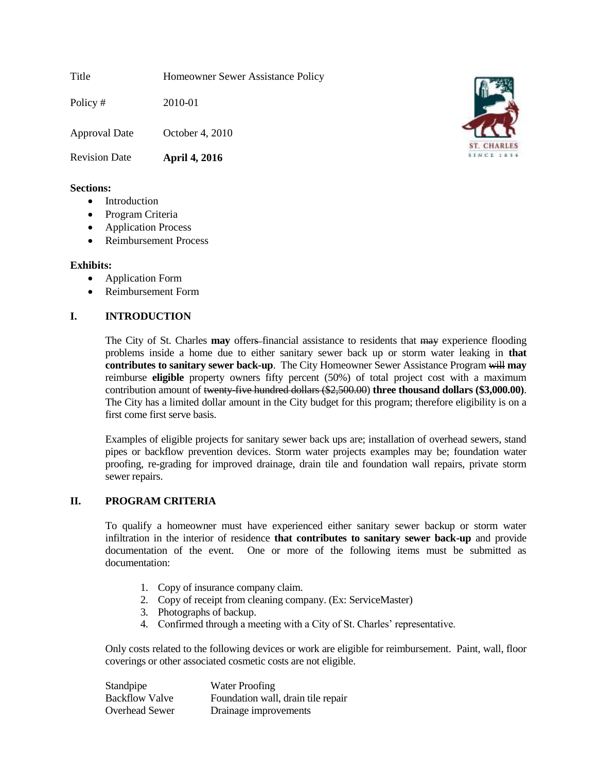Title Homeowner Sewer Assistance Policy

Policy # 2010-01

Approval Date October 4, 2010

Revision Date **April 4, 2016**

### **Sections:**

- Introduction
- Program Criteria
- Application Process
- Reimbursement Process

## **Exhibits:**

- Application Form
- Reimbursement Form

# **I. INTRODUCTION**

The City of St. Charles **may** offers-financial assistance to residents that may experience flooding problems inside a home due to either sanitary sewer back up or storm water leaking in **that contributes to sanitary sewer back-up**. The City Homeowner Sewer Assistance Program will **may** reimburse **eligible** property owners fifty percent (50%) of total project cost with a maximum contribution amount of twenty-five hundred dollars (\$2,500.00) **three thousand dollars (\$3,000.00)**. The City has a limited dollar amount in the City budget for this program; therefore eligibility is on a first come first serve basis.

Examples of eligible projects for sanitary sewer back ups are; installation of overhead sewers, stand pipes or backflow prevention devices. Storm water projects examples may be; foundation water proofing, re-grading for improved drainage, drain tile and foundation wall repairs, private storm sewer repairs.

# **II. PROGRAM CRITERIA**

To qualify a homeowner must have experienced either sanitary sewer backup or storm water infiltration in the interior of residence **that contributes to sanitary sewer back-up** and provide documentation of the event. One or more of the following items must be submitted as documentation:

- 1. Copy of insurance company claim.
- 2. Copy of receipt from cleaning company. (Ex: ServiceMaster)
- 3. Photographs of backup.
- 4. Confirmed through a meeting with a City of St. Charles' representative.

Only costs related to the following devices or work are eligible for reimbursement. Paint, wall, floor coverings or other associated cosmetic costs are not eligible.

Standpipe Water Proofing Backflow Valve Foundation wall, drain tile repair Overhead Sewer Drainage improvements